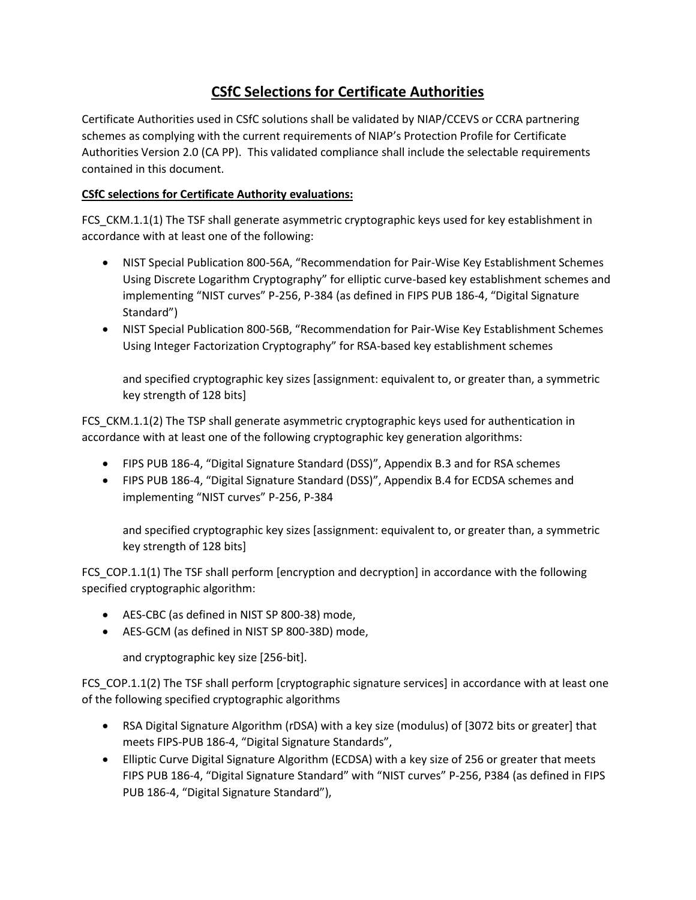## **CSfC Selections for Certificate Authorities**

Certificate Authorities used in CSfC solutions shall be validated by NIAP/CCEVS or CCRA partnering schemes as complying with the current requirements of NIAP's Protection Profile for Certificate Authorities Version 2.0 (CA PP). This validated compliance shall include the selectable requirements contained in this document.

## **CSfC selections for Certificate Authority evaluations:**

FCS\_CKM.1.1(1) The TSF shall generate asymmetric cryptographic keys used for key establishment in accordance with at least one of the following:

- NIST Special Publication 800-56A, "Recommendation for Pair-Wise Key Establishment Schemes Using Discrete Logarithm Cryptography" for elliptic curve-based key establishment schemes and implementing "NIST curves" P-256, P-384 (as defined in FIPS PUB 186-4, "Digital Signature Standard")
- NIST Special Publication 800-56B, "Recommendation for Pair-Wise Key Establishment Schemes Using Integer Factorization Cryptography" for RSA-based key establishment schemes

and specified cryptographic key sizes [assignment: equivalent to, or greater than, a symmetric key strength of 128 bits]

FCS CKM.1.1(2) The TSP shall generate asymmetric cryptographic keys used for authentication in accordance with at least one of the following cryptographic key generation algorithms:

- FIPS PUB 186-4, "Digital Signature Standard (DSS)", Appendix B.3 and for RSA schemes
- FIPS PUB 186-4, "Digital Signature Standard (DSS)", Appendix B.4 for ECDSA schemes and implementing "NIST curves" P-256, P-384

and specified cryptographic key sizes [assignment: equivalent to, or greater than, a symmetric key strength of 128 bits]

FCS\_COP.1.1(1) The TSF shall perform [encryption and decryption] in accordance with the following specified cryptographic algorithm:

- AES-CBC (as defined in NIST SP 800-38) mode,
- AES-GCM (as defined in NIST SP 800-38D) mode,

and cryptographic key size [256-bit].

FCS COP.1.1(2) The TSF shall perform [cryptographic signature services] in accordance with at least one of the following specified cryptographic algorithms

- RSA Digital Signature Algorithm (rDSA) with a key size (modulus) of [3072 bits or greater] that meets FIPS-PUB 186-4, "Digital Signature Standards",
- Elliptic Curve Digital Signature Algorithm (ECDSA) with a key size of 256 or greater that meets FIPS PUB 186-4, "Digital Signature Standard" with "NIST curves" P-256, P384 (as defined in FIPS PUB 186-4, "Digital Signature Standard"),